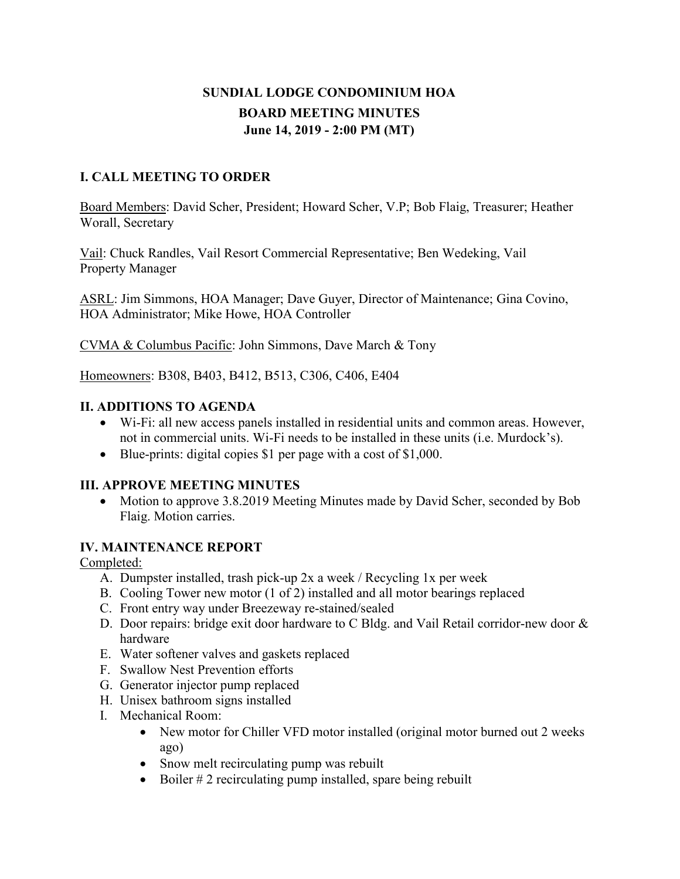# **SUNDIAL LODGE CONDOMINIUM HOA BOARD MEETING MINUTES June 14, 2019 - 2:00 PM (MT)**

## **I. CALL MEETING TO ORDER**

Board Members: David Scher, President; Howard Scher, V.P; Bob Flaig, Treasurer; Heather Worall, Secretary

Vail: Chuck Randles, Vail Resort Commercial Representative; Ben Wedeking, Vail Property Manager

ASRL: Jim Simmons, HOA Manager; Dave Guyer, Director of Maintenance; Gina Covino, HOA Administrator; Mike Howe, HOA Controller

CVMA & Columbus Pacific: John Simmons, Dave March & Tony

Homeowners: B308, B403, B412, B513, C306, C406, E404

#### **II. ADDITIONS TO AGENDA**

- Wi-Fi: all new access panels installed in residential units and common areas. However, not in commercial units. Wi-Fi needs to be installed in these units (i.e. Murdock's).
- Blue-prints: digital copies \$1 per page with a cost of \$1,000.

### **III. APPROVE MEETING MINUTES**

• Motion to approve 3.8.2019 Meeting Minutes made by David Scher, seconded by Bob Flaig. Motion carries.

#### **IV. MAINTENANCE REPORT**

### Completed:

- A. Dumpster installed, trash pick-up 2x a week / Recycling 1x per week
- B. Cooling Tower new motor (1 of 2) installed and all motor bearings replaced
- C. Front entry way under Breezeway re-stained/sealed
- D. Door repairs: bridge exit door hardware to C Bldg. and Vail Retail corridor-new door & hardware
- E. Water softener valves and gaskets replaced
- F. Swallow Nest Prevention efforts
- G. Generator injector pump replaced
- H. Unisex bathroom signs installed
- I. Mechanical Room:
	- New motor for Chiller VFD motor installed (original motor burned out 2 weeks ago)
	- Snow melt recirculating pump was rebuilt
	- Boiler # 2 recirculating pump installed, spare being rebuilt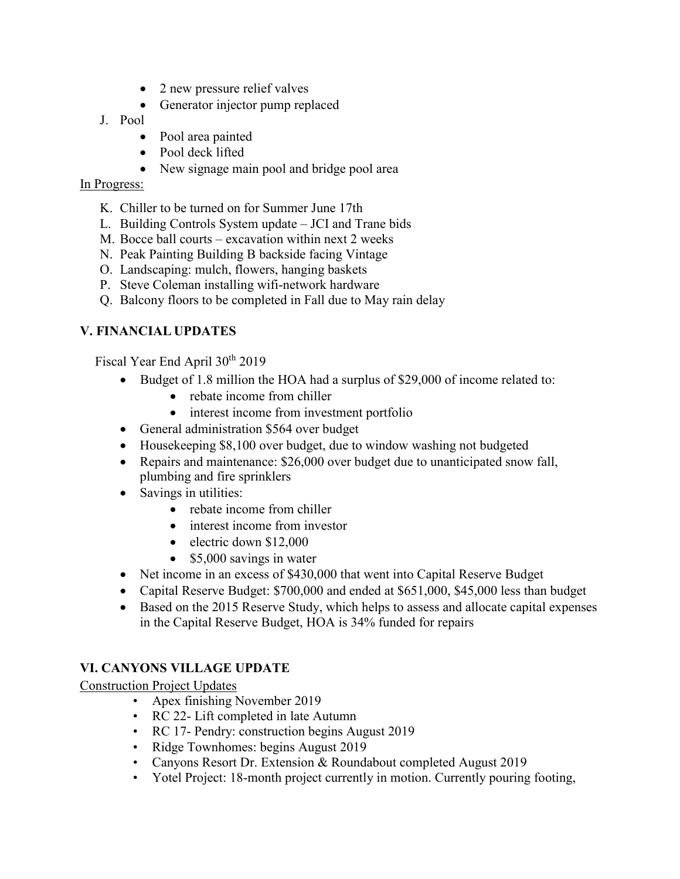- 2 new pressure relief valves
- Generator injector pump replaced
- J. Pool
	- Pool area painted
	- Pool deck lifted
	- New signage main pool and bridge pool area

#### In Progress:

- K. Chiller to be turned on for Summer June 17th
- L. Building Controls System update JCI and Trane bids
- M. Bocce ball courts excavation within next 2 weeks
- N. Peak Painting Building B backside facing Vintage
- O. Landscaping: mulch, flowers, hanging baskets
- P. Steve Coleman installing wifi-network hardware
- Q. Balcony floors to be completed in Fall due to May rain delay

### **V. FINANCIAL UPDATES**

Fiscal Year End April 30th 2019

- Budget of 1.8 million the HOA had a surplus of \$29,000 of income related to:
	- rebate income from chiller
	- interest income from investment portfolio
- General administration \$564 over budget
- Housekeeping \$8,100 over budget, due to window washing not budgeted
- Repairs and maintenance: \$26,000 over budget due to unanticipated snow fall, plumbing and fire sprinklers
- Savings in utilities:
	- rebate income from chiller
	- interest income from investor
	- electric down \$12,000
	- \$5,000 savings in water
- Net income in an excess of \$430,000 that went into Capital Reserve Budget
- Capital Reserve Budget: \$700,000 and ended at \$651,000, \$45,000 less than budget
- Based on the 2015 Reserve Study, which helps to assess and allocate capital expenses in the Capital Reserve Budget, HOA is 34% funded for repairs

# **VI. CANYONS VILLAGE UPDATE**

Construction Project Updates

- Apex finishing November 2019
- RC 22- Lift completed in late Autumn
- RC 17- Pendry: construction begins August 2019
- Ridge Townhomes: begins August 2019
- Canyons Resort Dr. Extension & Roundabout completed August 2019
- Yotel Project: 18-month project currently in motion. Currently pouring footing,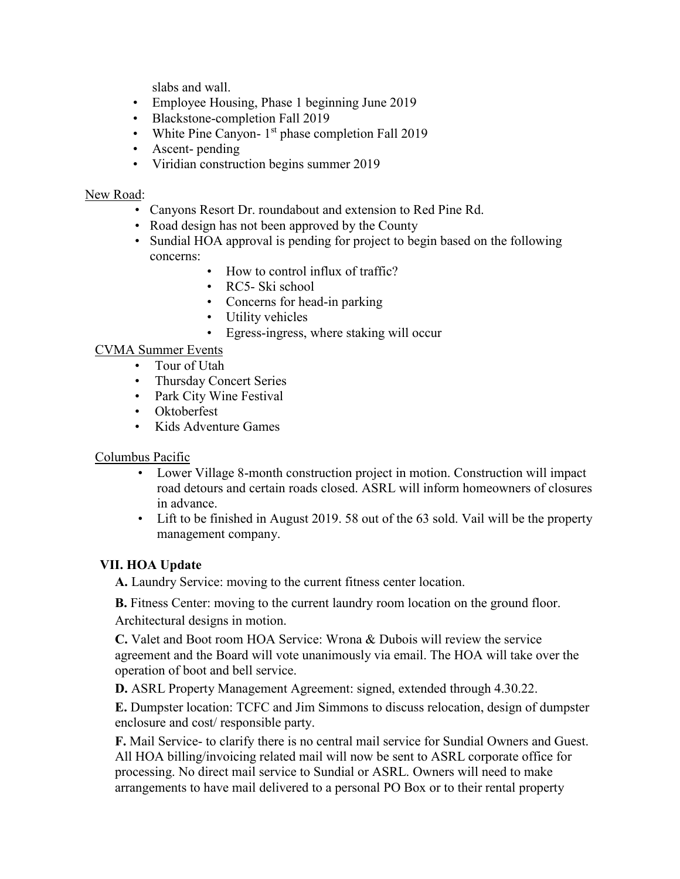slabs and wall.

- Employee Housing, Phase 1 beginning June 2019
- Blackstone-completion Fall 2019
- White Pine Canyon-  $1<sup>st</sup>$  phase completion Fall 2019
- Ascent-pending
- Viridian construction begins summer 2019

#### New Road:

- Canyons Resort Dr. roundabout and extension to Red Pine Rd.
- Road design has not been approved by the County
- Sundial HOA approval is pending for project to begin based on the following concerns:
	- How to control influx of traffic?
	- RC5- Ski school
	- Concerns for head-in parking
	- Utility vehicles
	- Egress-ingress, where staking will occur

### CVMA Summer Events

- Tour of Utah
- Thursday Concert Series
- Park City Wine Festival
- Oktoberfest
- Kids Adventure Games

### Columbus Pacific

- Lower Village 8-month construction project in motion. Construction will impact road detours and certain roads closed. ASRL will inform homeowners of closures in advance.
- Lift to be finished in August 2019. 58 out of the 63 sold. Vail will be the property management company.

# **VII. HOA Update**

**A.** Laundry Service: moving to the current fitness center location.

 **B.** Fitness Center: moving to the current laundry room location on the ground floor. Architectural designs in motion.

**C.** Valet and Boot room HOA Service: Wrona & Dubois will review the service agreement and the Board will vote unanimously via email. The HOA will take over the operation of boot and bell service.

**D.** ASRL Property Management Agreement: signed, extended through 4.30.22.

**E.** Dumpster location: TCFC and Jim Simmons to discuss relocation, design of dumpster enclosure and cost/ responsible party.

**F.** Mail Service- to clarify there is no central mail service for Sundial Owners and Guest. All HOA billing/invoicing related mail will now be sent to ASRL corporate office for processing. No direct mail service to Sundial or ASRL. Owners will need to make arrangements to have mail delivered to a personal PO Box or to their rental property